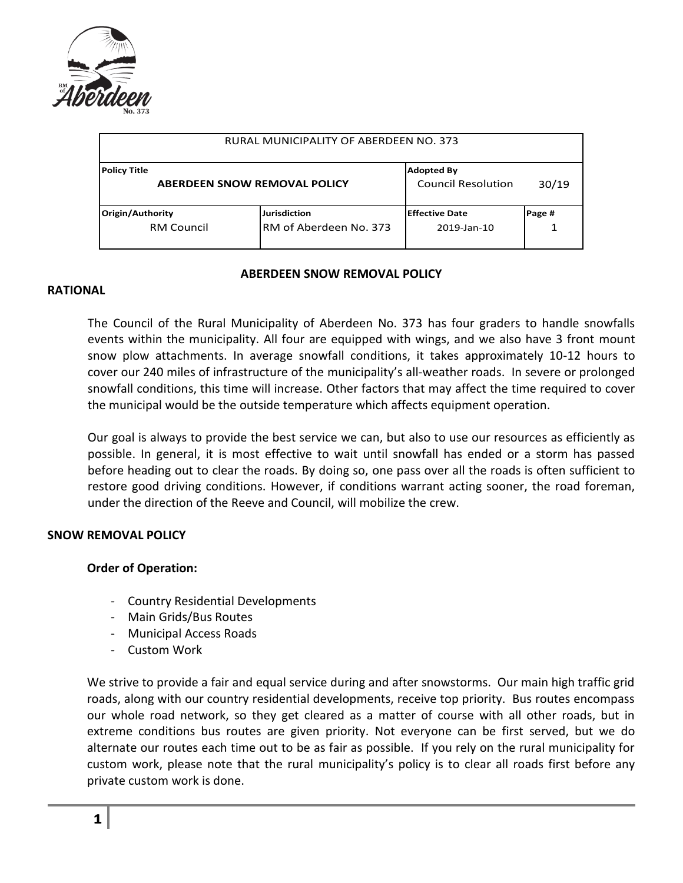

| RURAL MUNICIPALITY OF ABERDEEN NO. 373              |                                               |                                                |        |
|-----------------------------------------------------|-----------------------------------------------|------------------------------------------------|--------|
| <b>Policy Title</b><br>ABERDEEN SNOW REMOVAL POLICY |                                               | <b>Adopted By</b><br><b>Council Resolution</b> | 30/19  |
| Origin/Authority<br><b>RM Council</b>               | <b>Jurisdiction</b><br>RM of Aberdeen No. 373 | <b>Effective Date</b><br>2019-Jan-10           | Page # |

## **ABERDEEN SNOW REMOVAL POLICY**

## **RATIONAL**

The Council of the Rural Municipality of Aberdeen No. 373 has four graders to handle snowfalls events within the municipality. All four are equipped with wings, and we also have 3 front mount snow plow attachments. In average snowfall conditions, it takes approximately 10-12 hours to cover our 240 miles of infrastructure of the municipality's all-weather roads. In severe or prolonged snowfall conditions, this time will increase. Other factors that may affect the time required to cover the municipal would be the outside temperature which affects equipment operation.

Our goal is always to provide the best service we can, but also to use our resources as efficiently as possible. In general, it is most effective to wait until snowfall has ended or a storm has passed before heading out to clear the roads. By doing so, one pass over all the roads is often sufficient to restore good driving conditions. However, if conditions warrant acting sooner, the road foreman, under the direction of the Reeve and Council, will mobilize the crew.

## **SNOW REMOVAL POLICY**

## **Order of Operation:**

- Country Residential Developments
- Main Grids/Bus Routes
- Municipal Access Roads
- Custom Work

We strive to provide a fair and equal service during and after snowstorms. Our main high traffic grid roads, along with our country residential developments, receive top priority. Bus routes encompass our whole road network, so they get cleared as a matter of course with all other roads, but in extreme conditions bus routes are given priority. Not everyone can be first served, but we do alternate our routes each time out to be as fair as possible. If you rely on the rural municipality for custom work, please note that the rural municipality's policy is to clear all roads first before any private custom work is done.